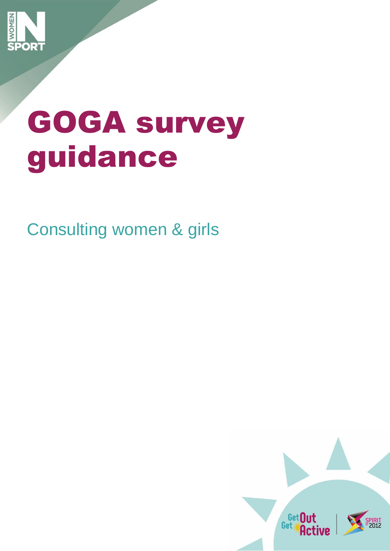

# GOGA survey guidance

Consulting women & girls

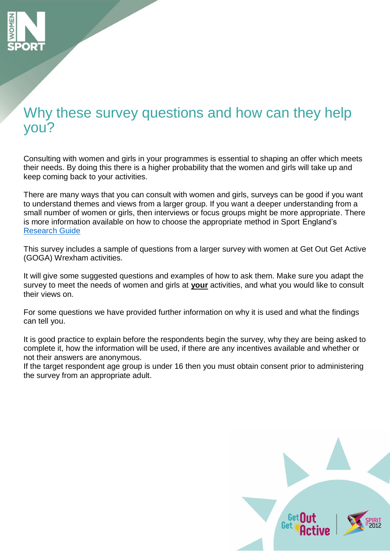

# Why these survey questions and how can they help you?

Consulting with women and girls in your programmes is essential to shaping an offer which meets their needs. By doing this there is a higher probability that the women and girls will take up and keep coming back to your activities.

There are many ways that you can consult with women and girls, surveys can be good if you want to understand themes and views from a larger group. If you want a deeper understanding from a small number of women or girls, then interviews or focus groups might be more appropriate. There is more information available on how to choose the appropriate method in Sport England's [Research Guide](https://www.sportengland.org/media/11048/sport-england-research-guide.pdf)

This survey includes a sample of questions from a larger survey with women at Get Out Get Active (GOGA) Wrexham activities.

It will give some suggested questions and examples of how to ask them. Make sure you adapt the survey to meet the needs of women and girls at **your** activities, and what you would like to consult their views on.

For some questions we have provided further information on why it is used and what the findings can tell you.

It is good practice to explain before the respondents begin the survey, why they are being asked to complete it, how the information will be used, if there are any incentives available and whether or not their answers are anonymous.

If the target respondent age group is under 16 then you must obtain consent prior to administering the survey from an appropriate adult.

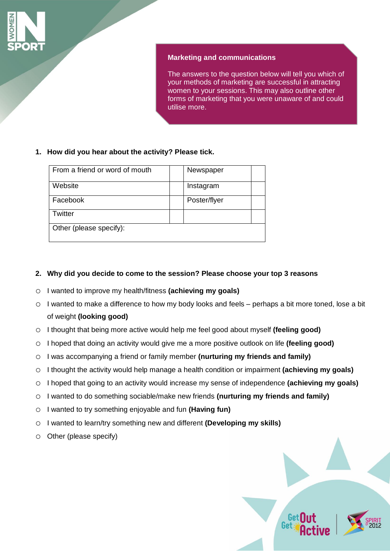

### **Marketing and communications**

The answers to the question below will tell you which of your methods of marketing are successful in attracting women to your sessions. This may also outline other forms of marketing that you were unaware of and could utilise more.

# **1. How did you hear about the activity? Please tick.**

| From a friend or word of mouth | Newspaper    |
|--------------------------------|--------------|
| Website                        | Instagram    |
| Facebook                       | Poster/flyer |
| Twitter                        |              |
| Other (please specify):        |              |

# **2. Why did you decide to come to the session? Please choose your top 3 reasons**

- o I wanted to improve my health/fitness **(achieving my goals)**
- o I wanted to make a difference to how my body looks and feels perhaps a bit more toned, lose a bit of weight **(looking good)**
- o I thought that being more active would help me feel good about myself **(feeling good)**
- o I hoped that doing an activity would give me a more positive outlook on life **(feeling good)**
- o I was accompanying a friend or family member **(nurturing my friends and family)**
- o I thought the activity would help manage a health condition or impairment **(achieving my goals)**
- o I hoped that going to an activity would increase my sense of independence **(achieving my goals)**
- o I wanted to do something sociable/make new friends **(nurturing my friends and family)**
- o I wanted to try something enjoyable and fun **(Having fun)**
- o I wanted to learn/try something new and different **(Developing my skills)**
- o Other (please specify)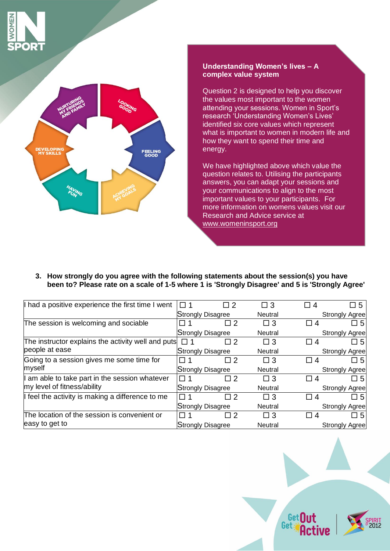





Question 2 is designed to help you discover the values most important to the women attending your sessions. Women in Sport's research 'Understanding Women's Lives' identified six core values which represent what is important to women in modern life and how they want to spend their time and energy.

We have highlighted above which value the question relates to. Utilising the participants answers, you can adapt your sessions and your communications to align to the most important values to your participants. For more information on womens values visit our Research and Advice service at [www.womeninsport.org](http://www.womeninsport.org/)

**3. How strongly do you agree with the following statements about the session(s) you have been to? Please rate on a scale of 1-5 where 1 is 'Strongly Disagree' and 5 is 'Strongly Agree'**

| I had a positive experience the first time I went  | □ 1          | □ 2                      | $\Box$ 3       | $\Box$ 4 | 口 5                   |
|----------------------------------------------------|--------------|--------------------------|----------------|----------|-----------------------|
|                                                    |              | Strongly Disagree        | <b>Neutral</b> |          | <b>Strongly Agree</b> |
| The session is welcoming and sociable              |              | $\Box$ 2                 | $\square$ 3    | 凵 4      | □ 5                   |
|                                                    |              | <b>Strongly Disagree</b> |                |          | <b>Strongly Agree</b> |
| The instructor explains the activity well and puts | <b>' ヿ 1</b> | □ 2                      | $\square$ 3    | 4<br>l I | □ 5                   |
| people at ease                                     |              | <b>Strongly Disagree</b> | <b>Neutral</b> |          | <b>Strongly Agree</b> |
| Going to a session gives me some time for          |              | П2                       | $\Box$ 3       | □ 4      | □ 5                   |
| myself                                             |              | Strongly Disagree        | <b>Neutral</b> |          | <b>Strongly Agree</b> |
| I am able to take part in the session whatever     | □ 1          | П 2                      | $\Box$ 3       | 4        | □ 5                   |
| my level of fitness/ability                        |              | <b>Strongly Disagree</b> | <b>Neutral</b> |          | <b>Strongly Agree</b> |
| If feel the activity is making a difference to me  | $\Box$ 1     | $\sqcap$ 2               | $\Box$ 3       | LJ 4     | □ 5                   |
|                                                    |              | <b>Strongly Disagree</b> | <b>Neutral</b> |          | <b>Strongly Agree</b> |
| The location of the session is convenient or       | 1            | П 2                      | $\Box$ 3       | 4        | 口 5                   |
| easy to get to                                     |              | <b>Strongly Disagree</b> | <b>Neutral</b> |          | Strongly Agree        |
|                                                    |              |                          |                |          |                       |

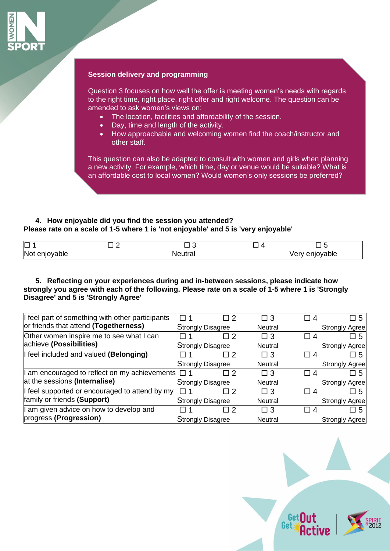

#### **Session delivery and programming**

Question 3 focuses on how well the offer is meeting women's needs with regards to the right time, right place, right offer and right welcome. The question can be amended to ask women's views on:

- The location, facilities and affordability of the session.
- Day, time and length of the activity.
- How approachable and welcoming women find the coach/instructor and other staff.

This question can also be adapted to consult with women and girls when planning a new activity. For example, which time, day or venue would be suitable? What is an affordable cost to local women? Would women's only sessions be preferred?

# **4. How enjoyable did you find the session you attended? Please rate on a scale of 1-5 where 1 is 'not enjoyable' and 5 is 'very enjoyable'**

| $\Box$        | J<br>_  |                   |
|---------------|---------|-------------------|
| Not enjoyable | Neutral | enjoyable<br>very |

#### **5. Reflecting on your experiences during and in-between sessions, please indicate how strongly you agree with each of the following. Please rate on a scale of 1-5 where 1 is 'Strongly Disagree' and 5 is 'Strongly Agree'**

| I feel part of something with other participants     | □ 1               |                          | $\Box$ 3       | $\Box$ 4 | 口 5                    |
|------------------------------------------------------|-------------------|--------------------------|----------------|----------|------------------------|
| or friends that attend (Togetherness)                |                   | Strongly Disagree        | Neutral        |          | Strongly Agree         |
| Other women inspire me to see what I can             |                   |                          | $\Box$ 3       | $\Box$ 4 | $\Box 5$               |
| achieve (Possibilities)                              | Strongly Disagree |                          | Neutral        |          | <b>Strongly Agree</b>  |
| I feel included and valued (Belonging)               |                   |                          | $\Box$ 3       | $\Box$ 4 | $\Box 5$               |
|                                                      |                   | Strongly Disagree        | Neutral        |          | <b>Strongly Agree</b>  |
| am encouraged to reflect on my achievements $\Box$ 1 |                   |                          | $\Box$ 3       | $\Box$ 4 | $\Box$ 5               |
| at the sessions (Internalise)                        |                   | <b>Strongly Disagree</b> | <b>Neutral</b> |          | <b>Strongly Agreel</b> |
| feel supported or encouraged to attend by my         |                   |                          | $\Box$ 3       | $\Box$ 4 | $\Box$ 5               |
| family or friends (Support)                          |                   | Strongly Disagree        | Neutral        |          | Strongly Agree         |
| am given advice on how to develop and                |                   |                          | $\Box$ 3       | $\Box$ 4 | $\Box 5$               |
| progress (Progression)                               |                   | Strongly Disagree        | Neutral        |          | Strongly Agree         |

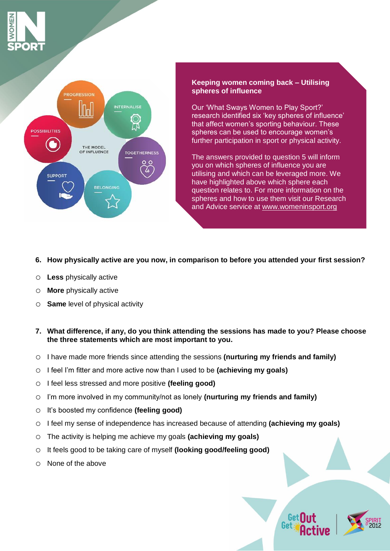



#### **Keeping women coming back – Utilising spheres of influence**

Our 'What Sways Women to Play Sport?' research identified six 'key spheres of influence' that affect women's sporting behaviour. These spheres can be used to encourage women's further participation in sport or physical activity.

The answers provided to question 5 will inform you on which spheres of influence you are utilising and which can be leveraged more. We have highlighted above which sphere each question relates to. For more information on the spheres and how to use them visit our Research and Advice service at [www.womeninsport.org](http://www.womeninsport.org/)

# **6. How physically active are you now, in comparison to before you attended your first session?**

- o **Less** physically active
- o **More** physically active
- o **Same** level of physical activity

#### **7. What difference, if any, do you think attending the sessions has made to you? Please choose the three statements which are most important to you.**

- o I have made more friends since attending the sessions **(nurturing my friends and family)**
- o I feel I'm fitter and more active now than I used to be **(achieving my goals)**
- o I feel less stressed and more positive **(feeling good)**
- o I'm more involved in my community/not as lonely **(nurturing my friends and family)**
- o It's boosted my confidence **(feeling good)**
- o I feel my sense of independence has increased because of attending **(achieving my goals)**
- o The activity is helping me achieve my goals **(achieving my goals)**
- o It feels good to be taking care of myself **(looking good/feeling good)**
- o None of the above